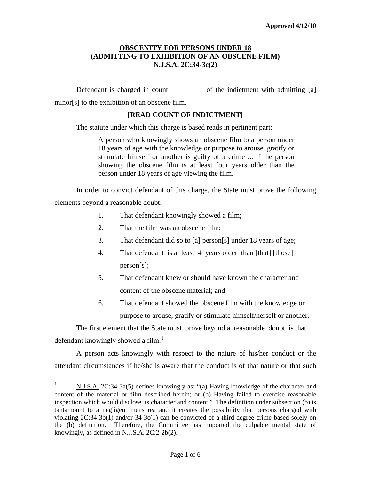Defendant is charged in count of the indictment with admitting [a] minor[s] to the exhibition of an obscene film.

## **[READ COUNT OF INDICTMENT]**

The statute under which this charge is based reads in pertinent part:

A person who knowingly shows an obscene film to a person under 18 years of age with the knowledge or purpose to arouse, gratify or stimulate himself or another is guilty of a crime ... if the person showing the obscene film is at least four years older than the person under 18 years of age viewing the film.

In order to convict defendant of this charge, the State must prove the following elements beyond a reasonable doubt:

- 1. That defendant knowingly showed a film;
- 2. That the film was an obscene film;
- 3. That defendant did so to [a] person[s] under 18 years of age;
- 4. That defendant is at least 4 years older than [that] [those] person[s];
- 5. That defendant knew or should have known the character and content of the obscene material; and
- 6. That defendant showed the obscene film with the knowledge or purpose to arouse, gratify or stimulate himself/herself or another.

The first element that the State must prove beyond a reasonable doubt is that defendant knowingly showed a film.<sup>[1](#page-0-0)</sup>

A person acts knowingly with respect to the nature of his/her conduct or the attendant circumstances if he/she is aware that the conduct is of that nature or that such

<span id="page-0-1"></span><span id="page-0-0"></span> $\frac{1}{1}$ N.J.S.A. 2C:34-3a(5) defines knowingly as: "(a) Having knowledge of the character and content of the material or film described herein; or (b) Having failed to exercise reasonable inspection which would disclose its character and content." The definition under subsection (b) is tantamount to a negligent mens rea and it creates the possibility that persons charged with violating  $2C:34-3b(1)$  and/or  $34-3c(1)$  can be convicted of a third-degree crime based solely on the (b) definition. Therefore, the Committee has imported the culpable mental state of knowingly, as defined in  $N.J.S.A.$   $2C:2-2b(2)$ .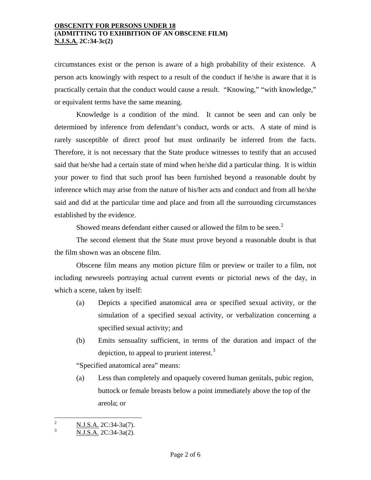circumstances exist or the person is aware of a high probability of their existence. A person acts knowingly with respect to a result of the conduct if he/she is aware that it is practically certain that the conduct would cause a result. "Knowing," "with knowledge," or equivalent terms have the same meaning.

Knowledge is a condition of the mind. It cannot be seen and can only be determined by inference from defendant's conduct, words or acts. A state of mind is rarely susceptible of direct proof but must ordinarily be inferred from the facts. Therefore, it is not necessary that the State produce witnesses to testify that an accused said that he/she had a certain state of mind when he/she did a particular thing. It is within your power to find that such proof has been furnished beyond a reasonable doubt by inference which may arise from the nature of his/her acts and conduct and from all he/she said and did at the particular time and place and from all the surrounding circumstances established by the evidence.

Showed means defendant either caused or allowed the film to be seen.<sup>[2](#page-0-1)</sup>

The second element that the State must prove beyond a reasonable doubt is that the film shown was an obscene film.

Obscene film means any motion picture film or preview or trailer to a film, not including newsreels portraying actual current events or pictorial news of the day, in which a scene, taken by itself:

- (a) Depicts a specified anatomical area or specified sexual activity, or the simulation of a specified sexual activity, or verbalization concerning a specified sexual activity; and
- (b) Emits sensuality sufficient, in terms of the duration and impact of the depiction, to appeal to prurient interest. $3$

"Specified anatomical area" means:

(a) Less than completely and opaquely covered human genitals, pubic region, buttock or female breasts below a point immediately above the top of the areola; or

<span id="page-1-1"></span> $\frac{1}{2}$ N.J.S.A. 2C:34-3a(7).

<span id="page-1-0"></span><sup>3</sup> N.J.S.A. 2C:34-3a(2).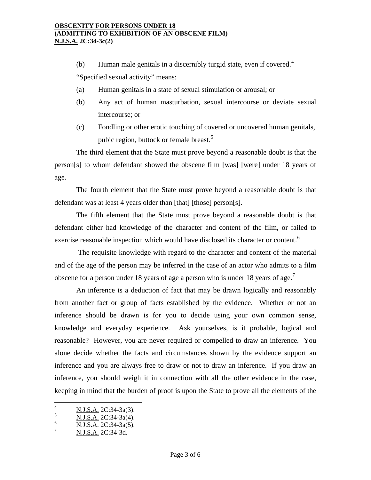(b) Human male genitals in a discernibly turgid state, even if covered.<sup>[4](#page-1-1)</sup>

"Specified sexual activity" means:

- (a) Human genitals in a state of sexual stimulation or arousal; or
- (b) Any act of human masturbation, sexual intercourse or deviate sexual intercourse; or
- (c) Fondling or other erotic touching of covered or uncovered human genitals, pubic region, buttock or female breast.<sup>[5](#page-2-0)</sup>

The third element that the State must prove beyond a reasonable doubt is that the person[s] to whom defendant showed the obscene film [was] [were] under 18 years of age.

The fourth element that the State must prove beyond a reasonable doubt is that defendant was at least 4 years older than [that] [those] person[s].

The fifth element that the State must prove beyond a reasonable doubt is that defendant either had knowledge of the character and content of the film, or failed to exercise reasonable inspection which would have disclosed its character or content.<sup>[6](#page-2-1)</sup>

 The requisite knowledge with regard to the character and content of the material and of the age of the person may be inferred in the case of an actor who admits to a film obscene for a person under 18 years of age a person who is under 18 years of age.<sup>[7](#page-2-2)</sup>

An inference is a deduction of fact that may be drawn logically and reasonably from another fact or group of facts established by the evidence. Whether or not an inference should be drawn is for you to decide using your own common sense, knowledge and everyday experience. Ask yourselves, is it probable, logical and reasonable? However, you are never required or compelled to draw an inference. You alone decide whether the facts and circumstances shown by the evidence support an inference and you are always free to draw or not to draw an inference. If you draw an inference, you should weigh it in connection with all the other evidence in the case, keeping in mind that the burden of proof is upon the State to prove all the elements of the

<span id="page-2-3"></span> $\frac{1}{4}$ N.J.S.A. 2C:34-3a(3).

<span id="page-2-0"></span><sup>5</sup> N.J.S.A. 2C:34-3a(4).

<span id="page-2-1"></span><sup>6</sup> N.J.S.A. 2C:34-3a(5).

<span id="page-2-2"></span><sup>7</sup> N.J.S.A. 2C:34-3d.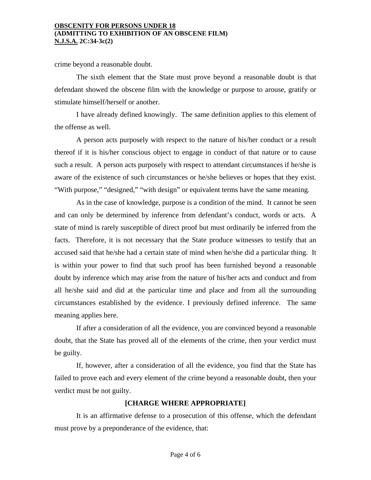crime beyond a reasonable doubt.

The sixth element that the State must prove beyond a reasonable doubt is that defendant showed the obscene film with the knowledge or purpose to arouse, gratify or stimulate himself/herself or another.

I have already defined knowingly. The same definition applies to this element of the offense as well.

A person acts purposely with respect to the nature of his/her conduct or a result thereof if it is his/her conscious object to engage in conduct of that nature or to cause such a result. A person acts purposely with respect to attendant circumstances if he/she is aware of the existence of such circumstances or he/she believes or hopes that they exist. "With purpose," "designed," "with design" or equivalent terms have the same meaning.

As in the case of knowledge, purpose is a condition of the mind. It cannot be seen and can only be determined by inference from defendant's conduct, words or acts. A state of mind is rarely susceptible of direct proof but must ordinarily be inferred from the facts. Therefore, it is not necessary that the State produce witnesses to testify that an accused said that he/she had a certain state of mind when he/she did a particular thing. It is within your power to find that such proof has been furnished beyond a reasonable doubt by inference which may arise from the nature of his/her acts and conduct and from all he/she said and did at the particular time and place and from all the surrounding circumstances established by the evidence. I previously defined inference. The same meaning applies here.

If after a consideration of all the evidence, you are convinced beyond a reasonable doubt, that the State has proved all of the elements of the crime, then your verdict must be guilty.

If, however, after a consideration of all the evidence, you find that the State has failed to prove each and every element of the crime beyond a reasonable doubt, then your verdict must be not guilty.

## **[CHARGE WHERE APPROPRIATE]**

It is an affirmative defense to a prosecution of this offense, which the defendant must prove by a preponderance of the evidence, that: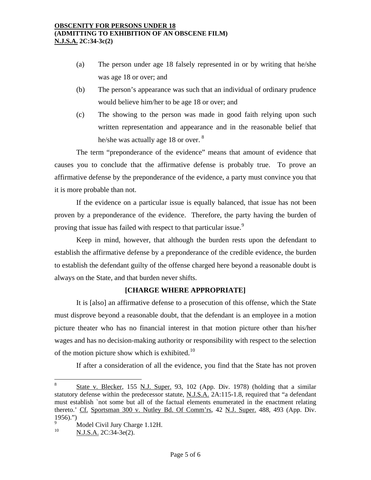- (a) The person under age 18 falsely represented in or by writing that he/she was age 18 or over; and
- (b) The person's appearance was such that an individual of ordinary prudence would believe him/her to be age 18 or over; and
- (c) The showing to the person was made in good faith relying upon such written representation and appearance and in the reasonable belief that he/she was actually age 1[8](#page-2-3) or over. <sup>8</sup>

The term "preponderance of the evidence" means that amount of evidence that causes you to conclude that the affirmative defense is probably true. To prove an affirmative defense by the preponderance of the evidence, a party must convince you that it is more probable than not.

If the evidence on a particular issue is equally balanced, that issue has not been proven by a preponderance of the evidence. Therefore, the party having the burden of proving that issue has failed with respect to that particular issue.<sup>[9](#page-4-0)</sup>

Keep in mind, however, that although the burden rests upon the defendant to establish the affirmative defense by a preponderance of the credible evidence, the burden to establish the defendant guilty of the offense charged here beyond a reasonable doubt is always on the State, and that burden never shifts.

# **[CHARGE WHERE APPROPRIATE]**

It is [also] an affirmative defense to a prosecution of this offense, which the State must disprove beyond a reasonable doubt, that the defendant is an employee in a motion picture theater who has no financial interest in that motion picture other than his/her wages and has no decision-making authority or responsibility with respect to the selection of the motion picture show which is exhibited.<sup>[10](#page-4-1)</sup>

If after a consideration of all the evidence, you find that the State has not proven

 $\overline{a}$ 

<sup>8</sup> State v. Blecker, 155 N.J. Super. 93, 102 (App. Div. 1978) (holding that a similar statutory defense within the predecessor statute, N.J.S.A. 2A:115-1.8, required that "a defendant must establish `not some but all of the factual elements enumerated in the enactment relating thereto.' Cf. Sportsman 300 v. Nutley Bd. Of Comm'rs, 42 N.J. Super. 488, 493 (App. Div. 1956).")

<span id="page-4-1"></span><span id="page-4-0"></span><sup>9</sup>  $^{9}$  Model Civil Jury Charge 1.12H.

N.J.S.A. 2C:34-3e(2).